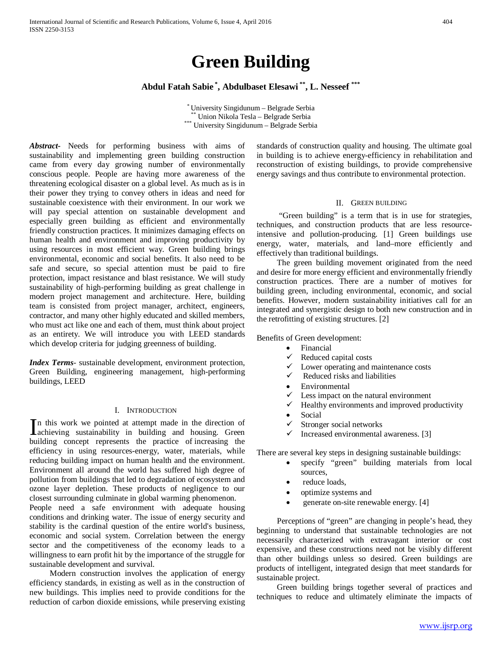# **Green Building**

**Abdul Fatah Sabie \* , Abdulbaset Elesawi \*\*, L. Nesseef \*\*\***

\* University Singidunum – Belgrade Serbia \*\* Union Nikola Tesla – Belgrade Serbia \*\*\* University Singidunum – Belgrade Serbia

*Abstract***-** Needs for performing business with aims of sustainability and implementing green building construction came from every day growing number of environmentally conscious people. People are having more awareness of the threatening ecological disaster on a global level. As much as is in their power they trying to convey others in ideas and need for sustainable coexistence with their environment. In our work we will pay special attention on sustainable development and especially green building as efficient and environmentally friendly construction practices. It minimizes damaging effects on human health and environment and improving productivity by using resources in most efficient way. Green building brings environmental, economic and social benefits. It also need to be safe and secure, so special attention must be paid to fire protection, impact resistance and blast resistance. We will study sustainability of high-performing building as great challenge in modern project management and architecture. Here, building team is consisted from project manager, architect, engineers, contractor, and many other highly educated and skilled members, who must act like one and each of them, must think about project as an entirety. We will introduce you with LEED standards which develop criteria for judging greenness of building.

*Index Terms*- sustainable development, environment protection, Green Building, engineering management, high-performing buildings, LEED

## I. INTRODUCTION

n this work we pointed at attempt made in the direction of In this work we pointed at attempt made in the direction of achieving sustainability in building and housing. Green building concept represents the practice of increasing the efficiency in using resources-energy, water, materials, while reducing building impact on human health and the environment. Environment all around the world has suffered high degree of pollution from buildings that led to degradation of ecosystem and ozone layer depletion. These products of negligence to our closest surrounding culminate in global warming phenomenon.

People need a safe environment with adequate housing conditions and drinking water. The issue of energy security and stability is the cardinal question of the entire world's business, economic and social system. Correlation between the energy sector and the competitiveness of the economy leads to a willingness to earn profit hit by the importance of the struggle for sustainable development and survival.

 Modern construction involves the application of energy efficiency standards, in existing as well as in the construction of new buildings. This implies need to provide conditions for the reduction of carbon dioxide emissions, while preserving existing standards of construction quality and housing. The ultimate goal in building is to achieve energy-efficiency in rehabilitation and reconstruction of existing buildings, to provide comprehensive energy savings and thus contribute to environmental protection.

#### II. GREEN BUILDING

 "Green building" is a term that is in use for strategies, techniques, and construction products that are less resourceintensive and pollution-producing. [1] Green buildings use energy, water, materials, and land–more efficiently and effectively than traditional buildings.

 The green building movement originated from the need and desire for more energy efficient and environmentally friendly construction practices. There are a number of motives for building green, including environmental, economic, and social benefits. However, modern sustainability initiatives call for an integrated and synergistic design to both new construction and in the retrofitting of existing structures. [2]

Benefits of Green development:

- **Financial**
- $\checkmark$  Reduced capital costs<br> $\checkmark$  Lower operating and t
- Lower operating and maintenance costs
- $\checkmark$  Reduced risks and liabilities
- **Environmental**
- $\checkmark$  Less impact on the natural environment
- $\checkmark$  Healthy environments and improved productivity
- Social
- $\checkmark$  Stronger social networks
- Increased environmental awareness. [3]

There are several key steps in designing sustainable buildings:

- specify "green" building materials from local sources,
- reduce loads,
- optimize systems and
- generate on-site renewable energy. [4]

 Perceptions of "green" are changing in people's head, they beginning to understand that sustainable technologies are not necessarily characterized with extravagant interior or cost expensive, and these constructions need not be visibly different than other buildings unless so desired. Green buildings are products of intelligent, integrated design that meet standards for sustainable project.

 Green building brings together several of practices and techniques to reduce and ultimately eliminate the impacts of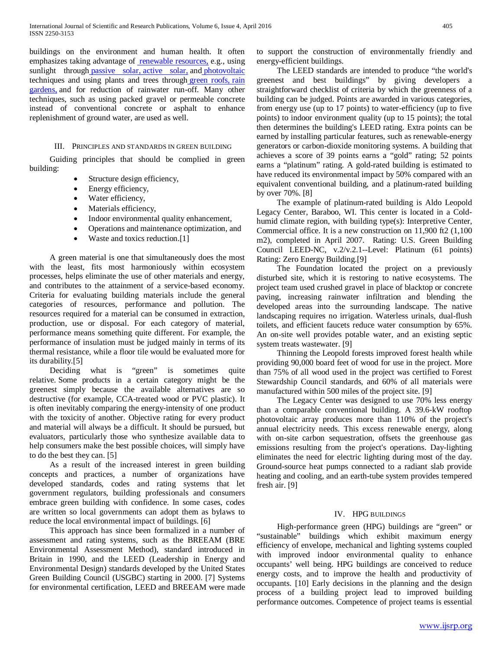buildings on the environment and human health. It often emphasizes taking advantage of [renewable resources,](http://en.wikipedia.org/wiki/Renewable_resource) e.g., using sunlight through [passive solar,](http://en.wikipedia.org/wiki/Passive_solar) [active solar,](http://en.wikipedia.org/wiki/Passive_solar) and photovoltaic [t](http://en.wikipedia.org/wiki/Photovoltaic)echniques and using plants and trees through [green roofs,](http://en.wikipedia.org/wiki/Green_roof) [rain](http://en.wikipedia.org/wiki/Green_roof)  [gardens,](http://en.wikipedia.org/wiki/Rain_gardens) and for reduction of rainwater run-off. Many other techniques, such as using packed gravel or permeable concrete instead of conventional concrete or asphalt to enhance replenishment of ground water, are used as well.

#### III. PRINCIPLES AND STANDARDS IN GREEN BUILDING

 Guiding principles that should be complied in green building:

- Structure design efficiency,
- Energy efficiency,
- Water efficiency,
- Materials efficiency,
- Indoor environmental quality enhancement,
- Operations and maintenance optimization, and
- Waste and toxics reduction.[1]

 A green material is one that simultaneously does the most with the least, fits most harmoniously within ecosystem processes, helps eliminate the use of other materials and energy, and contributes to the attainment of a service-based economy. Criteria for evaluating building materials include the general categories of resources, performance and pollution. The resources required for a material can be consumed in extraction, production, use or disposal. For each category of material, performance means something quite different. For example, the performance of insulation must be judged mainly in terms of its thermal resistance, while a floor tile would be evaluated more for its durability.[5]

 Deciding what is "green" is sometimes quite relative. Some products in a certain category might be the greenest simply because the available alternatives are so destructive (for example, CCA-treated wood or PVC plastic). It is often inevitably comparing the energy-intensity of one product with the toxicity of another. Objective rating for every product and material will always be a difficult. It should be pursued, but evaluators, particularly those who synthesize available data to help consumers make the best possible choices, will simply have to do the best they can. [5]

 As a result of the increased interest in green building concepts and practices, a number of organizations have developed standards, codes and rating systems that let government regulators, building professionals and consumers embrace green building with confidence. In some cases, codes are written so local governments can adopt them as bylaws to reduce the local environmental impact of buildings. [6]

 This approach has since been formalized in a number of assessment and rating systems, such as the BREEAM (BRE Environmental Assessment Method), standard introduced in Britain in 1990, and the LEED (Leadership in Energy and Environmental Design) standards developed by the United States Green Building Council (USGBC) starting in 2000. [7] Systems for environmental certification, LEED and BREEAM were made to support the construction of environmentally friendly and energy-efficient buildings.

 The LEED standards are intended to produce "the world's greenest and best buildings" by giving developers a straightforward checklist of criteria by which the greenness of a building can be judged. Points are awarded in various categories, from energy use (up to 17 points) to water-efficiency (up to five points) to indoor environment quality (up to 15 points); the total then determines the building's LEED rating. Extra points can be earned by installing particular features, such as renewable-energy generators or carbon-dioxide monitoring systems. A building that achieves a score of 39 points earns a "gold" rating; 52 points earns a "platinum" rating. A gold-rated building is estimated to have reduced its environmental impact by 50% compared with an equivalent conventional building, and a platinum-rated building by over 70%. [8]

 The example of platinum-rated building is Aldo Leopold Legacy Center, Baraboo, WI. This center is located in a Coldhumid climate region, with building type(s): Interpretive Center, Commercial office. It is a new construction on 11,900 ft2 (1,100 m2), completed in April 2007. Rating: U.S. Green Building Council LEED-NC, v.2/v.2.1--Level: Platinum (61 points) Rating: Zero Energy Building.[9]

 The Foundation located the project on a previously disturbed site, which it is restoring to native ecosystems. The project team used crushed gravel in place of blacktop or concrete paving, increasing rainwater infiltration and blending the developed areas into the surrounding landscape. The native landscaping requires no irrigation. Waterless urinals, dual-flush toilets, and efficient faucets reduce water consumption by 65%. An on-site well provides potable water, and an existing septic system treats wastewater. [9]

 Thinning the Leopold forests improved forest health while providing 90,000 board feet of wood for use in the project. More than 75% of all wood used in the project was certified to Forest Stewardship Council standards, and 60% of all materials were manufactured within 500 miles of the project site. [9]

 The Legacy Center was designed to use 70% less energy than a comparable conventional building. A 39.6-kW rooftop photovoltaic array produces more than 110% of the project's annual electricity needs. This excess renewable energy, along with on-site carbon sequestration, offsets the greenhouse gas emissions resulting from the project's operations. Day-lighting eliminates the need for electric lighting during most of the day. Ground-source heat pumps connected to a radiant slab provide heating and cooling, and an earth-tube system provides tempered fresh air. [9]

### IV. HPG BUILDINGS

 High-performance green (HPG) buildings are "green" or "sustainable" buildings which exhibit maximum energy efficiency of envelope, mechanical and lighting systems coupled with improved indoor environmental quality to enhance occupants' well being. HPG buildings are conceived to reduce energy costs, and to improve the health and productivity of occupants. [10] Early decisions in the planning and the design process of a building project lead to improved building performance outcomes. Competence of project teams is essential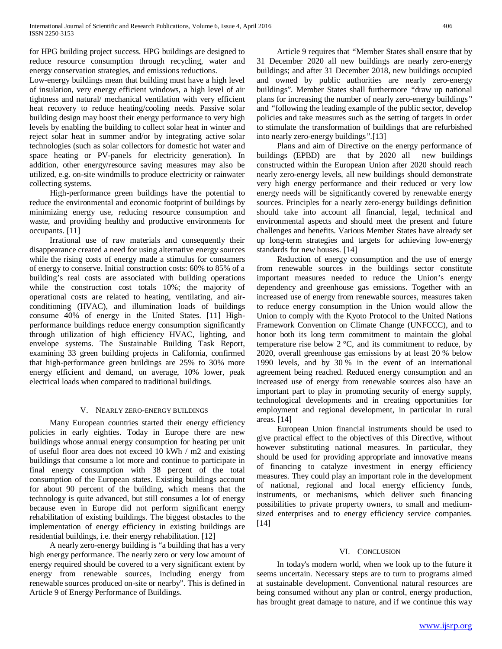for HPG building project success. HPG buildings are designed to reduce resource consumption through recycling, water and energy conservation strategies, and emissions reductions.

Low-energy buildings mean that building must have a high level of insulation, very energy efficient windows, a high level of air tightness and natural/ mechanical ventilation with very efficient heat recovery to reduce heating/cooling needs. Passive solar building design may boost their energy performance to very high levels by enabling the building to collect solar heat in winter and reject solar heat in summer and/or by integrating active solar technologies (such as solar collectors for domestic hot water and space heating or PV-panels for electricity generation). In addition, other energy/resource saving measures may also be utilized, e.g. on-site windmills to produce electricity or rainwater collecting systems.

 High-performance green buildings have the potential to reduce the environmental and economic footprint of buildings by minimizing energy use, reducing resource consumption and waste, and providing healthy and productive environments for occupants. [11]

 Irrational use of raw materials and consequently their disappearance created a need for using alternative energy sources while the rising costs of energy made a stimulus for consumers of energy to conserve. Initial construction costs: 60% to 85% of a building's real costs are associated with building operations while the construction cost totals 10%; the majority of operational costs are related to heating, ventilating, and airconditioning (HVAC), and illumination loads of buildings consume 40% of energy in the United States. [11] Highperformance buildings reduce energy consumption significantly through utilization of high efficiency HVAC, lighting, and envelope systems. The Sustainable Building Task Report, examining 33 green building projects in California, confirmed that high-performance green buildings are 25% to 30% more energy efficient and demand, on average, 10% lower, peak electrical loads when compared to traditional buildings.

## V. NEARLY ZERO-ENERGY BUILDINGS

 Many European countries started their energy efficiency policies in early eighties. Today in Europe there are new buildings whose annual energy consumption for heating per unit of useful floor area does not exceed 10 kWh / m2 and existing buildings that consume a lot more and continue to participate in final energy consumption with 38 percent of the total consumption of the European states. Existing buildings account for about 90 percent of the building, which means that the technology is quite advanced, but still consumes a lot of energy because even in Europe did not perform significant energy rehabilitation of existing buildings. The biggest obstacles to the implementation of energy efficiency in existing buildings are residential buildings, i.e. their energy rehabilitation. [12]

 A nearly zero-energy building is "a building that has a very high energy performance. The nearly zero or very low amount of energy required should be covered to a very significant extent by energy from renewable sources, including energy from renewable sources produced on-site or nearby"*.* This is defined in Article 9 of Energy Performance of Buildings.

 Article 9 requires that *"*Member States shall ensure that by 31 December 2020 all new buildings are nearly zero-energy buildings; and after 31 December 2018, new buildings occupied and owned by public authorities are nearly zero-energy buildings"*.* Member States shall furthermore *"*draw up national plans for increasing the number of nearly zero-energy buildings*"*  and *"*following the leading example of the public sector, develop policies and take measures such as the setting of targets in order to stimulate the transformation of buildings that are refurbished into nearly zero-energy buildings*".*[13]

 Plans and aim of Directive on the energy performance of buildings (EPBD) are that by 2020 all new buildings constructed within the European Union after 2020 should reach nearly zero-energy levels, all new buildings should demonstrate very high energy performance and their reduced or very low energy needs will be significantly covered by renewable energy sources. Principles for a nearly zero-energy buildings definition should take into account all financial, legal, technical and environmental aspects and should meet the present and future challenges and benefits. Various Member States have already set up long-term strategies and targets for achieving low-energy standards for new houses. [14]

 Reduction of energy consumption and the use of energy from renewable sources in the buildings sector constitute important measures needed to reduce the Union's energy dependency and greenhouse gas emissions. Together with an increased use of energy from renewable sources, measures taken to reduce energy consumption in the Union would allow the Union to comply with the Kyoto Protocol to the United Nations Framework Convention on Climate Change (UNFCCC), and to honor both its long term commitment to maintain the global temperature rise below  $2^{\circ}C$ , and its commitment to reduce, by 2020, overall greenhouse gas emissions by at least 20 % below 1990 levels, and by 30 % in the event of an international agreement being reached. Reduced energy consumption and an increased use of energy from renewable sources also have an important part to play in promoting security of energy supply, technological developments and in creating opportunities for employment and regional development, in particular in rural areas. [14]

 European Union financial instruments should be used to give practical effect to the objectives of this Directive, without however substituting national measures. In particular, they should be used for providing appropriate and innovative means of financing to catalyze investment in energy efficiency measures. They could play an important role in the development of national, regional and local energy efficiency funds, instruments, or mechanisms, which deliver such financing possibilities to private property owners, to small and mediumsized enterprises and to energy efficiency service companies. [14]

# VI. CONCLUSION

 In today's modern world, when we look up to the future it seems uncertain. Necessary steps are to turn to programs aimed at sustainable development. Conventional natural resources are being consumed without any plan or control, energy production, has brought great damage to nature, and if we continue this way